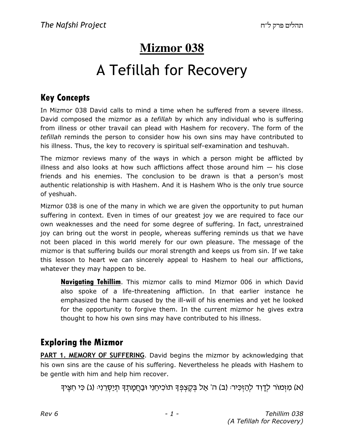# **Mizmor 038**

# A Tefillah for Recovery

### Key Concepts

In Mizmor 038 David calls to mind a time when he suffered from a severe illness. David composed the mizmor as a *tefillah* by which any individual who is suffering from illness or other travail can plead with Hashem for recovery. The form of the tefillah reminds the person to consider how his own sins may have contributed to his illness. Thus, the key to recovery is spiritual self-examination and teshuvah.

The mizmor reviews many of the ways in which a person might be afflicted by illness and also looks at how such afflictions affect those around him  $-$  his close friends and his enemies. The conclusion to be drawn is that a person's most authentic relationship is with Hashem. And it is Hashem Who is the only true source of yeshuah.

Mizmor 038 is one of the many in which we are given the opportunity to put human suffering in context. Even in times of our greatest joy we are required to face our own weaknesses and the need for some degree of suffering. In fact, unrestrained joy can bring out the worst in people, whereas suffering reminds us that we have not been placed in this world merely for our own pleasure. The message of the mizmor is that suffering builds our moral strength and keeps us from sin. If we take this lesson to heart we can sincerely appeal to Hashem to heal our afflictions, whatever they may happen to be.

**Navigating Tehillim**. This mizmor calls to mind Mizmor 006 in which David also spoke of a life-threatening affliction. In that earlier instance he emphasized the harm caused by the ill-will of his enemies and yet he looked for the opportunity to forgive them. In the current mizmor he gives extra thought to how his own sins may have contributed to his illness.

### Exploring the Mizmor

PART 1. MEMORY OF SUFFERING. David begins the mizmor by acknowledging that his own sins are the cause of his suffering. Nevertheless he pleads with Hashem to be gentle with him and help him recover.

(א) מִזְמוֹר לְדָוִד לְהַזְּכִּיר: (ב) ה' אֲל בָּקֵצְפָּךָ תוֹכִיחֵנִי וּבַחֲמָתִךְ תִיַּסְרֵנִי: (ג) כִּי חִצֵּיךָ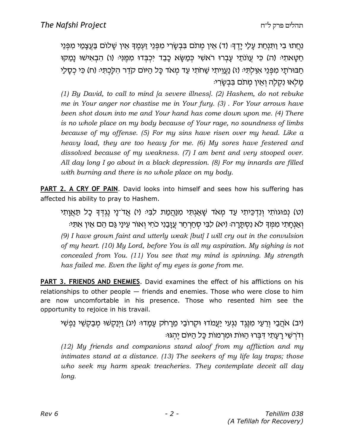וְחֵתוּ בִי וַתְּנְחַת עֲלֵי יַדֵדְּּ (ד) אֵין מִתֹּם בִּבְשָׂרִי מִפְּנֵי זַעְמֵדְּ אֵין שַׁלוֹם בַּעֲצָמַי מִפְּנֵי ּחַטַּאתִיּ (ה) כִּי עֲוֹנֹתַי עַבְרוּ רֹאשִׁי כִּמַשָּׂא כַּבֵד יִכְבָדוּ מִמֵּוִּיּ (ו) הִבְאִישׁוּ נַמַקּוּ ּחֲבּוּרֹתֵי מִפְּנֵי אִוַּלִתְּיּ (ז) נַעֲוֶיתִי שַׁחֹתִי עַד מִאֹד כַּל הַיּוֹם קֹדֵר הִלַּכְתִּיּ (ח) כִּי כְסַלַי מלאו נקלה ואין מתם בבשרי:

(1) By David, to call to mind [a severe illness]. (2) Hashem, do not rebuke me in Your anger nor chastise me in Your fury. (3) . For Your arrows have been shot down into me and Your hand has come down upon me. (4) There is no whole place on my body because of Your rage, no soundness of limbs because of my offense. (5) For my sins have risen over my head. Like a heavy load, they are too heavy for me. (6) My sores have festered and dissolved because of my weakness. (7) I am bent and very stooped over. All day long I go about in a black depression. (8) For my innards are filled with burning and there is no whole place on my body.

PART 2. A CRY OF PAIN. David looks into himself and sees how his suffering has affected his ability to pray to Hashem.

(ט) נְפוּגוֹתִי וְנִדְכֵּיתִי עַד מִאֹד שַׁאֲגִתִּי מִנַּהֲמַת לִבְּיּ (י) אֲדֹ־נַי נֵגְדְּדָּ כַל תַּאֲוַתִי ואנחתי ממד לא נסתרה: (יא) לבי סחרחר עזבני כחי ואור עיני גם הם אין אתי: (9) I have grown faint and utterly weak [but] I will cry out in the convulsion of my heart. (10) My Lord, before You is all my aspiration. My sighing is not concealed from You. (11) You see that my mind is spinning. My strength has failed me. Even the light of my eyes is gone from me.

PART 3. FRIENDS AND ENEMIES. David examines the effect of his afflictions on his relationships to other people — friends and enemies. Those who were close to him are now uncomfortable in his presence. Those who resented him see the opportunity to rejoice in his travail.

(יב) אֹהֲבֵי וְרֵעֵי מִנֶּגֶד נְגְעִי יַעֲמֹדוּ וּקְרוֹבֵי מֵרַחֹק עַמַדוּּ (יג) וַיְנַקְשׁוּ מִבַקְשֶׁי נַפְשִׁי ודרשי רעתי דברו הוות ומרמות כל היום יהגו:

(12) My friends and companions stand aloof from my affliction and my intimates stand at a distance. (13) The seekers of my life lay traps; those who seek my harm speak treacheries. They contemplate deceit all day long.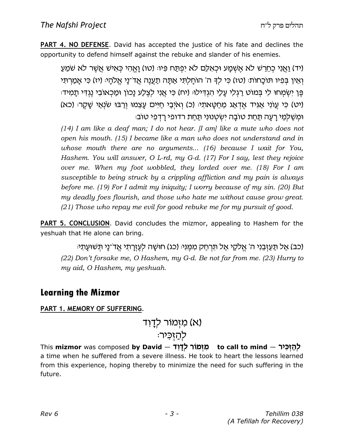**PART 4. NO DEFENSE.** David has accepted the justice of his fate and declines the opportunity to defend himself against the rebuke and slander of his enemies.

(יד) ואני כחרש לא אשמע וכאלם לא יפתח פּיוּ (טו) ואהי כּאיש אַשֶׁר לא שמע וְאֵין בְּפִיו תּוֹכָחוֹת: (טז) כִּי לִךְ ה' הוֹחַלְתִּי אֲתַּה תַעֲנֵה אֲדֹ־נַי אֱלֹהַי: (יז) כִּי אֲמַרְתִּי ּפֵּן יִשְׂמְחוּ לִי בְּמוֹט רַגְלִי עַלַי הְגִדְילוּּ (יח) כִּי אֲנִי לִצֶלַע נַכוֹן וּמַכְאוֹבִי נֵגְדִי תַמְידּ (יט) כִּי עֲוֹנִי אֲגִּיד אֵדְאֲג מֶחַטֵּאתְיּ (כ) וְאֹיְבַי חַיִּים עַצֵמוּ וְרַבּוּ שֹׂנְאַי שַׁקֵרּ (כא) ֿוּמִשַׁלְמֵי רַעֲה תַּחַת טוֹבָה יְשָׂטְנוּנִי תַּחַת רדופי רַדְפִי טוֹב<sup>ָ</sup>

(14) I am like a deaf man; I do not hear. [I am] like a mute who does not open his mouth. (15) I became like a man who does not understand and in whose mouth there are no arguments... (16) because I wait for You, Hashem. You will answer, O L-rd, my G-d. (17) For I say, lest they rejoice over me. When my foot wobbled, they lorded over me. (18) For I am susceptible to being struck by a crippling affliction and my pain is always before me. (19) For I admit my iniquity; I worry because of my sin. (20) But my deadly foes flourish, and those who hate me without cause grow great. (21) Those who repay me evil for good rebuke me for my pursuit of good.

PART 5. CONCLUSION. David concludes the mizmor, appealing to Hashem for the yeshuah that He alone can bring.

(כב) אַל תַּעֲזְבֵנִי ה' אֱלֹקֵי אֲל תִּרְחַק מְמֵנִי: (כג) חוּשַׁה לְעֵזֶרֶתִי אֲד־נַי תִּשׁוּעַתִי: (22) Don't forsake me, O Hashem, my G-d. Be not far from me. (23) Hurry to my aid, O Hashem, my yeshuah.

### Learning the Mizmor

#### PART 1. MEMORY OF SUFFERING.

# (א) מזִמוֹר לדָוד לְהַזְכָּיר:

This **mizmor** was composed **by David — מִזְמוֹר לְדָוֹד** — to call to mind a time when he suffered from a severe illness. He took to heart the lessons learned from this experience, hoping thereby to minimize the need for such suffering in the future.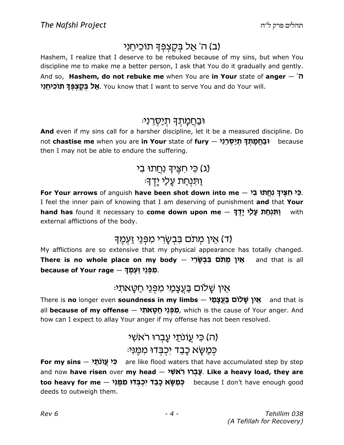### (ב) ה' אַל בְּקֵצְפָּךָ תוֹכִיחֵנִי

Hashem, I realize that I deserve to be rebuked because of my sins, but when You discipline me to make me a better person, I ask that You do it gradually and gently. And so, Hashem, do not rebuke me when You are in Your state of anger  $-7$ **אַל בְּקֶצְפְּךָ תוֹכִיחֵנִי.** You know that I want to serve You and do Your will.

### וּבַחֲמָתִךְ תִיַּסְרֵני<sub>ׂ</sub>

And even if my sins call for a harsher discipline, let it be a measured discipline. Do not **chastise me** when you are **in Your** state of **fury – יִבַּחֲמָתְדָּ תְיַיִּסְרֵיִנִי** because then I may not be able to endure the suffering.

### (ג) כֵּי חָצֵיךְ נְחֲתוּ בִי

### <u>וּתּנִחַת עָלַי יָד</u>ֶדוּ

For Your arrows of anguish **have been shot down into me** — <mark>בִּי חִצְּיךָ נְחֲתוּ בִי</mark> I feel the inner pain of knowing that I am deserving of punishment and that Your hand has found it necessary to come down upon me – יַתְּנְחַת עַלַי יַדֶךְ with external afflictions of the body.

### ד) אֵין מִתּם בּבִשָּׂרי מִפְּנֵי זַעְמֵך<sub>ֿ</sub>

My afflictions are so extensive that my physical appearance has totally changed. <mark>There is no whole place on my body — אֵין מְתֹם בִּבְשָׂרִי</mark> and that is all because of Your rage — מְפְנֵי זַעְמֶךָ.

### ּאֵין שַׁלוֹם בַּעֲצַמֵי מִפְּנֵי חַטֵּאתִי

There is no longer even soundness in my limbs – אֵין שַׁלוֹם בַּעֲצַמַי and that is all **because of my offense — מִפְּנֵי חַטָאתִ***ל***,** which is the cause of Your anger. And how can I expect to allay Your anger if my offense has not been resolved.

# ה) כ*ּי* עֵוֹנתַי עָבְרוּ ראשׁי ( ּכְּמַשָּׂא כַבֵּד יִכְבָדוּ מִמְּנִי:

For my sins – כִּי עֲוֹנֹתַ*י* are like flood waters that have accumulated step by step and now **have risen** over <mark>my head — עֲבְרוֹ רֹאשִׁ . Like a heavy load, they are</mark> t**oo heavy for me — רְּמַשָּׂא כָבֵד יִכְבְּדוּ מִמֶּנִי**<br>פ**ָּמַשָּׂא כָבֵד** because I don't have enough good deeds to outweigh them.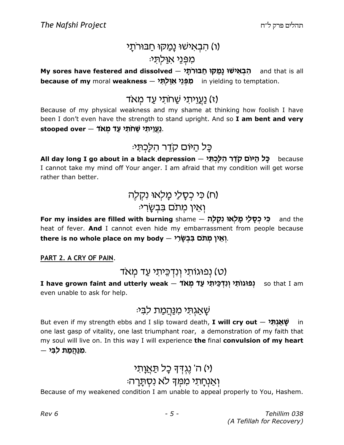# (ו) הבאישוּ נַמַקוּ חַבּוּרתַ*י* :מפני אוּלתּ

My sores have festered and dissolved – הְבְאִישׁוּ נָמַקוּ חַבּוּרֹתָי and that is all because of my moral weakness — מִפְּנֵי אָוַלְתָּי in yielding to temptation.

### <u>(ז) נַעֲוֵ</u>יתי שַׁחתי עַד מַאד

Because of my physical weakness and my shame at thinking how foolish I have been I don't even have the strength to stand upright. And so I am bent and very stooped over – <u>געֲ</u>וֶיתָי שַׁחֹתָי עַד*ּ בְּאֲרֹ .* 

כֵּל הַיּוּם קדֵר הִלַּכְתִּי

All day long I go about in a black depression – כָּל הַיּוֹם קֹדֵר הִלְכְתִּי I cannot take my mind off Your anger. I am afraid that my condition will get worse rather than better.

(ח) כ*ּי כִסָלַי מָלְאוּ נִקְלֶ*ה ּוְאֵין מִתֹּם בִּבְשַׂרִי

For my insides are filled with burning shame – כִּי כְסָלַי מָלְאוּ נִקְלֶה and the heat of fever. And I cannot even hide my embarrassment from people because there is no whole place on my body – יְאֵין מְתֹם בִּבְשָׂרִי.

#### PART 2. A CRY OF PAIN.

### (ט) נפוגותי ונדכיתי עד מאד

I **have grown faint and utterly weak — רְצַוּגוֹתְי וְנִדְּבֵּיתִי עַד מְאֹד**<br>פּוּ **(נוּגוֹתִי יְנִדְ***בֵּי***תִי עַד מְאֹד** even unable to ask for help.

### ּשָׁאַגִתִּי מִ<u>נַּהֲמ</u>ַת לבִי:

But even if my strength ebbs and I slip toward death, **I will cry out**  $-$  שְׁאֲגְתָ*ל* in one last gasp of vitality, one last triumphant roar, a demonstration of my faith that my soul will live on. In this way I will experience the final convulsion of my heart  $-$  פִוַּהְמַת לִבִּי.

# (י) ה' נֵגְדִּדְּ כָל תַּ<u>א</u>ָוָתִי

### וְאַנְחָתִי מִמְךָ לֹא נִסְתֲרָה:

Because of my weakened condition I am unable to appeal properly to You, Hashem.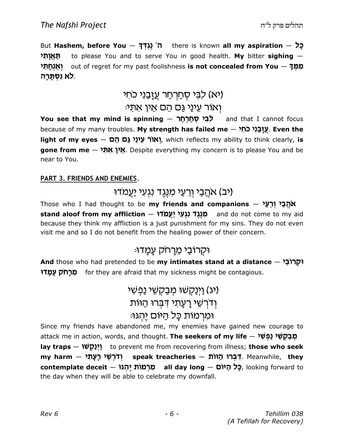But Hashem, before You  $-$  בְל here is known all my aspiration  $-$  5 תאותי to please You and to serve You in good health. My bitter sighing  $-$ מִמְּךָ – out of regret for my past foolishness **is not concealed from You** יְ**אַנְחָתִי** לא נִסְתָּרָה.

# (יא) לִבִּי סְחַרְחַר עֲזַבֲנִי כֹחִי ּיִאוֹר עֵינַי גַּם הֵם אֵין את*י*

צְּ*רָ* סְחַרְחַר Kou see that my mind is spinning — בְּי א and that I cannot focus because of my many troubles. **My strength has failed me — עֲזָבַנִי כֹחִי** . **Even the** light of my eyes  $-$  האוֹר עיני גם הם $\kappa$  which reflects my ability to think clearly, is  $\,$ gone from me  $-$  אֵין אִתְּ $\,$  Despite everything my concern is to please You and be near to You.

#### PART 3. FRIENDS AND ENEMIES.

### יב) א<u>הָב</u>י וְרֵעֵי מִנֵּגֶד נְגְעִי יַעֲמדוּ)

Those who I had thought to be my friends and companions – אֹהֶבַּי וְרַעֵּי  $\mathsf{stand} \ \mathsf{aloof} \ \mathsf{from} \ \mathsf{my} \ \mathsf{afflication} \ - \ \mathcal{\mathsf{HY}} \ \mathcal{\mathsf{LY}} \ \mathcal{\mathsf{HY}} \ \mathcal{\mathsf{AY}} \ \mathcal{\mathsf{AY}} \ \mathcal{\mathsf{AY}} \ \mathcal{\mathsf{AY}} \ \mathcal{\mathsf{AY}} \ \mathcal{\mathsf{AY}} \ \mathcal{\mathsf{AY}} \ \mathcal{\mathsf{AY}} \ \mathcal{\mathsf{AY}} \ \mathcal{\mathsf{AY}} \ \mathcal{\mathsf{AY}} \ \mathcal{\mathsf{AY}} \ \mathcal{\mathsf{AY}} \ \mathcal{\mathsf{AY}} \ \mathcal{\mathsf{AY}} \$ because they think my affliction is a just punishment for my sins. They do not even visit me and so I do not benefit from the healing power of their concern.

### וּקַרוֹבַי מֵרַחֹק עַמַדוּ:

And those who had pretended to be my intimates stand at a distance – וּקְרוֹבַ<sup>נ</sup> Us ng e«jr n for they are afraid that my sickness might be contagious.

# (יג) וַיְנַקְשׁוּ מִבַקְשֵׁי נֵפְשָׁי ּוְדֹרְשֵׁי רָעָת*י* דִּבְּרוּ הַוּוֹת ומרמות כל היום יהגו:

Since my friends have abandoned me, my enemies have gained new courage to attack me in action, words, and thought. **The seekers of my life** — מְ**בַקְשֵׁי נַפְשִׁי lay traps** — וינק $\forall$ ו to prevent me from recovering from illness; **those who seek**  $m$ rny harm  $-$  ודרשי רעתי ּדְּבְּרוּ הַוּוֹת — speak treacheries וְדֹּרְשֵׁי רָעָת Meanwhile, they **contemplate deceit — מִרְמוֹת יֶהְגוּ, l**ooking forward to the day when they will be able to celebrate my downfall.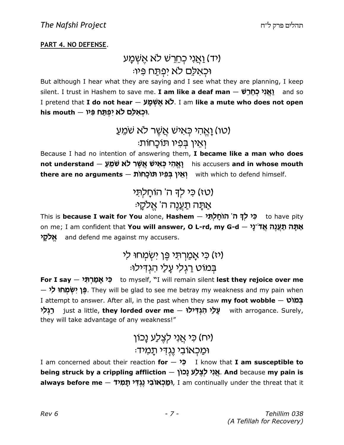#### PART 4. NO DEFENSE.

### <u>(יד) ואַנִי כְחֵרֵשׁ לא אַשָׁמַע</u> וּכְאלִם לא יפִתַּח פִּיוּ:

But although I hear what they are saying and I see what they are planning, I keep silent. I trust in Hashem to save me. **I am like a deaf man** — **יִאֲנִי כְחֵרֵשׁ a**nd so I pretend that **I do not hear – לֹא אשׁמע.** I am like a mute who does not open his mouth – וִּכְאָלֵם לֹא יִפְתַּח פִּיו

# (טו) וָאֱהִי כְּאִישׁ אֲשֶׁר לֹא שֹׁמֵעַ ּוְאֵין בִּפְיו תּוֹכַחוֹת:

Because I had no intention of answering them, I became like a man who does not understand — יָאֱהִי כְּאִישׁ אֲשֶׁר לֹא שֹׁמֵעַ t**here are no arguments — יְאֵין בְּפִיו תּוֹכָחוֹת**<br>אַ with which to defend himself.

# (טז) כי לך ה' הוֹחַלִתּי אַתַּה תַעֲנֵה ה' אֵלקֵי<del>ּ</del>

This is **because I wait for You** alone, **Hashem — פִ<sup>יַ</sup> לְדָּ ה' הוֹחָלְתִּי to** have pity on me; I am confident that **You will answer, O L-rd, my G-d** — א**ַתָּה תֲעֲנֶה אֲד**ֹ־נַ**י** h e«k5t and defend me against my accusers.

# (יז) כִּי אָמַרְתִּי פֵּן ישָׂמְחוּ לִי בְמוֹט רַגְלִי עָלַי הְגִדִּילוּ:

For I say — כִּי אֲמַרְתָּי to myself, "I will remain silent lest they rejoice over me  $\rightarrow$ ר פֶּן יִשְּׁמְחוּ לִי — They will be glad to see me betray my weakness and my pain when I attempt to answer. After all, in the past when they saw my foot wobble  $v$ ו $\alpha$ לֵ**לְי just a little, they lorded over me – עֲלַי הִגְדִּילוּ (עֲלֹי with arrogance. Surely,** they will take advantage of any weakness!"

# וח) כֵּי אֲנִי לַצ<u>ְל</u>ַע נַכוֹן) ּוּמַכְאוּבי נֻגְדי תַמיד<sup>ָ</sup>

I am concerned about their reaction  $for - \infty$  I know that I am susceptible to being struck by a crippling affliction — אֲגִי לְצֶלֵע נָכוֹן. And because my pain is **always before me — יְמֵּכְאוֹבִי נֶגְדִּי תָמִיד),** I am continually under the threat that it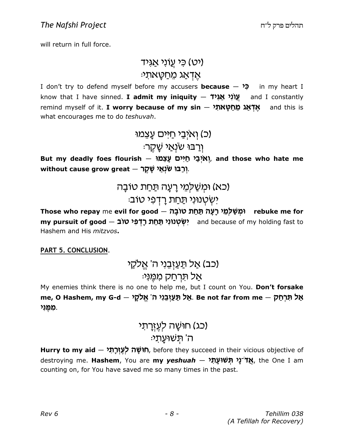will return in full force.

### רט) כי עוני אגיד) :אַדאַג מֵחַטָּאת

I don't try to defend myself before my accusers **because – פֿ<sup>(</sup> - i**n my heart I know that I have sinned. **I admit my iniquity – עֲוֹנָי אֲגִיד** and I constantly remind myself of it. **I worry because of my sin — אֶדְאַג מֵחַטְאתִ***ל* **a**nd this is what encourages me to do teshuvah.

> (כ) ואיבי חיים עַצמו ֿוַרַבּוּ שׂנְאַי שַׁקֵר<del>ּ</del>

But my deadly foes flourish — אֲצְמַי חַיִּים עָצֵמּ , and those who hate me without cause grow great – רַבּוּ שׂנָאַי שַׁקָר.

> (כא) וּמִשַׁלִמֵי רַעֲה תַּחַת טוֹבָה ישטנוני תחת רדפי טוב:

Those who repay me evil for good – וּמִשׁׁלַמֵי רַעֲה תַּחַת טוֹבַה m**y pursuit of good — יִשְׂטְנוּנִי תַּחַת רָדְפִי טוֹב**<br>אָ and because of my holding fast to Hashem and His mitzvos.

PART 5. CONCLUSION.

### (כב) אַל תַּעַזְבֵנִי ה' אֱלקַי אַל תּרְחַק מִמֵּנִי:

My enemies think there is no one to help me, but I count on You. Don't forsake me, O Hashem, my G-d — אֲל תַּעֲזְבֵנִי ה' אֱלֹקָ $\kappa$  Be not far from me  $-$  אֲל מִמֵּנִי

# (כג) חוּשָׁה לְעֶזְרַתֵי ּה' תִּשׁוּעַתי

Hurry to my aid — חוּשָׁה לְעֶזְרָתִ*י),* before they succeed in their vicious objective of destroying me. **Hashem**, You are **my** *yeshuah — אֲז***ֹ־נָי תְּשׁוּעָתִי (t**he One I am counting on, for You have saved me so many times in the past.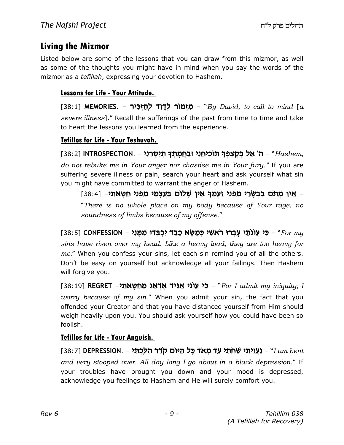### Living the Mizmor

Listed below are some of the lessons that you can draw from this mizmor, as well as some of the thoughts you might have in mind when you say the words of the mizmor as a *tefillah*, expressing your devotion to Hashem.

#### Lessons for Life - Your Attitude.

[38:1] **MEMORIES. – מִזְמוֹר לְדָוִד לְהַזְכִּיר** - "By David, to call to mind [a severe illness]." Recall the sufferings of the past from time to time and take to heart the lessons you learned from the experience.

#### Tefillos for Life - Your Teshuvah.

[38:2] INTROSPECTION. – ה' אַל בְּקֶצְפְּךָ תוֹכִיחֵנִי וּבַחֲמָתְךָ תְיַשְּׁרֵנִי (198:2] ( do not rebuke me in Your anger nor chastise me in Your fury." If you are suffering severe illness or pain, search your heart and ask yourself what sin you might have committed to warrant the anger of Hashem.

אַין מְתֹּם בִּבְשָׂרִי מִפְּנֵי זַעְמֶךָ אֵין שָׁלוֹם בַּעֲצָמַי מִפְּנֵי חַטָּאתִי- [38:4] -"There is no whole place on my body because of Your rage, no soundness of limbs because of my offense."

[38:5] CONFESSION – מִי עֲוֹנֹתַי עָבְרוּ רֹאשִׁי כְּמַשָּׂא כָבֵד יִכְבְּדוּ מִמֶּנִי - CONFESSION (38:5 sins have risen over my head. Like a heavy load, they are too heavy for me." When you confess your sins, let each sin remind you of all the others. Don't be easy on yourself but acknowledge all your failings. Then Hashem will forgive you.

[38:19] REGRET –מַי עֲוֹנִי אַגִּיד אֶדְאַג מֵחַטָּאתִי (28:19] For I admit my iniquity; I worry because of my sin." When you admit your sin, the fact that you offended your Creator and that you have distanced yourself from Him should weigh heavily upon you. You should ask yourself how you could have been so foolish.

#### Tefillos for Life - Your Anguish.

[38:7] DEPRESSION. – הַעֲוֵיתִי שַׁחֹתִי עַד מְאֹד כָּל הַיּוֹם קֹדֵר הִלְכְתִּי - DEPRESSION. – [38] and very stooped over. All day long I go about in a black depression." If your troubles have brought you down and your mood is depressed, acknowledge you feelings to Hashem and He will surely comfort you.